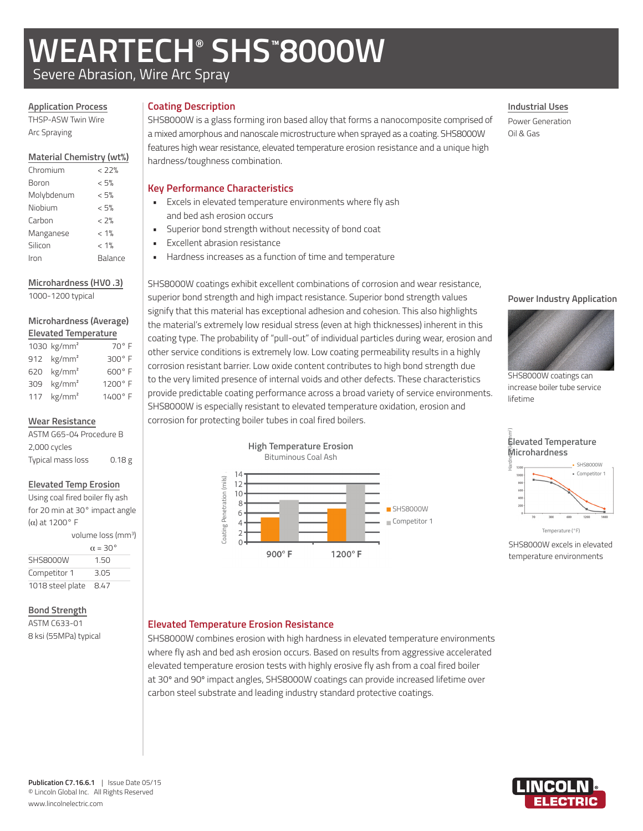# **WEARTECH® SHS™ 8000W**

**Key Performance Characteristics**

and bed ash erosion occurs

Excellent abrasion resistance

Severe Abrasion, Wire Arc Spray

## **Application Process**

THSP-ASW Twin Wire Arc Spraying

## **Material Chemistry (wt%)**

| Chromium   | < 77%   |
|------------|---------|
| Boron      | < 5%    |
| Molybdenum | < 5%    |
| Niobium    | < 5%    |
| Carbon     | < 2%    |
| Manganese  | $< 1\%$ |
| Silicon    | $< 1\%$ |
| Iron       | Balance |
|            |         |

# **Microhardness (HV0 .3)**

1000-1200 typical

### **Microhardness (Average) Elevated Temperature**

| 1030 $kg/mm2$          | $70^{\circ}$ F |
|------------------------|----------------|
| 912 $kg/mm2$           | 300° F         |
| 620 kg/mm <sup>2</sup> | 600°F          |
| 309 $kg/mm2$           | 1200° F        |
| 117 $kg/mm2$           | 1400° F        |

# **Wear Resistance**

ASTM G65-04 Procedure B 2,000 cycles Typical mass loss 0.18 g

# **Elevated Temp Erosion**

Using coal fired boiler fly ash for 20 min at 30° impact angle (α) at 1200° F

|                  | volume loss (mm <sup>3</sup> ) |  |
|------------------|--------------------------------|--|
|                  | $\alpha = 30^{\circ}$          |  |
| SHS8000W         | 1.50                           |  |
| Competitor 1     | 3.05                           |  |
| 1018 steel plate | 8.47                           |  |

# **Bond Strength**

ASTM C633-01 8 ksi (55MPa) typical

# **Coating Description**

SHS8000W is a glass forming iron based alloy that forms a nanocomposite comprised of a mixed amorphous and nanoscale microstructure when sprayed as a coating. SHS8000W features high wear resistance, elevated temperature erosion resistance and a unique high hardness/toughness combination.

• Excels in elevated temperature environments where fly ash

Superior bond strength without necessity of bond coat

• Hardness increases as a function of time and temperature

# **Industrial Uses**

Power Generation Oil & Gas

# SHS8000W coatings exhibit excellent combinations of corrosion and wear resistance, superior bond strength and high impact resistance. Superior bond strength values signify that this material has exceptional adhesion and cohesion. This also highlights the material's extremely low residual stress (even at high thicknesses) inherent in this coating type. The probability of "pull-out" of individual particles during wear, erosion and other service conditions is extremely low. Low coating permeability results in a highly corrosion resistant barrier. Low oxide content contributes to high bond strength due to the very limited presence of internal voids and other defects. These characteristics provide predictable coating performance across a broad variety of service environments. SHS8000W is especially resistant to elevated temperature oxidation, erosion and corrosion for protecting boiler tubes in coal fired boilers.







SHS8000W coatings can increase boiler tube service lifetime



SHS8000W excels in elevated temperature environments

# **Elevated Temperature Erosion Resistance**

SHS8000W combines erosion with high hardness in elevated temperature environments where fly ash and bed ash erosion occurs. Based on results from aggressive accelerated elevated temperature erosion tests with highly erosive fly ash from a coal fired boiler at 30º and 90º impact angles, SHS8000W coatings can provide increased lifetime over carbon steel substrate and leading industry standard protective coatings.